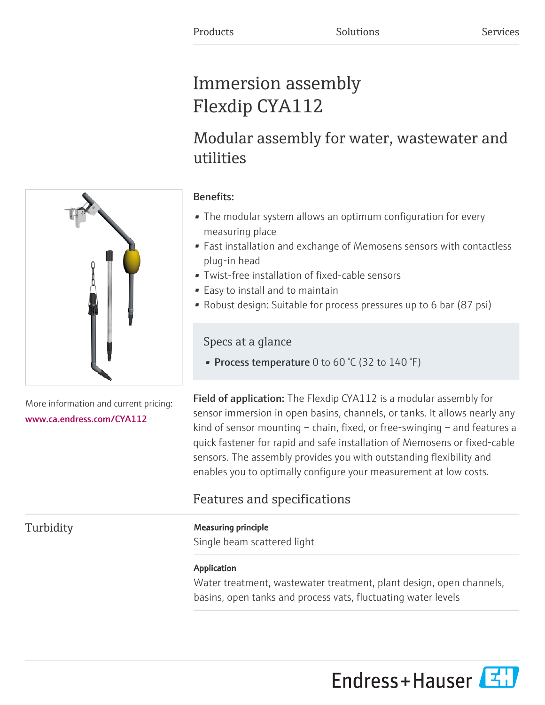# Immersion assembly Flexdip CYA112

# Modular assembly for water, wastewater and utilities

# Benefits:

- The modular system allows an optimum configuration for every measuring place
- Fast installation and exchange of Memosens sensors with contactless plug-in head
- Twist-free installation of fixed-cable sensors
- Easy to install and to maintain
- Robust design: Suitable for process pressures up to 6 bar (87 psi)

# Specs at a glance

• Process temperature 0 to 60 °C (32 to 140 °F)

Field of application: The Flexdip CYA112 is a modular assembly for sensor immersion in open basins, channels, or tanks. It allows nearly any kind of sensor mounting – chain, fixed, or free-swinging – and features a quick fastener for rapid and safe installation of Memosens or fixed-cable sensors. The assembly provides you with outstanding flexibility and enables you to optimally configure your measurement at low costs.

# Features and specifications

# Turbidity **Measuring principle**

Single beam scattered light

# Application

Water treatment, wastewater treatment, plant design, open channels, basins, open tanks and process vats, fluctuating water levels



More information and current pricing: [www.ca.endress.com/CYA112](https://www.ca.endress.com/CYA112)

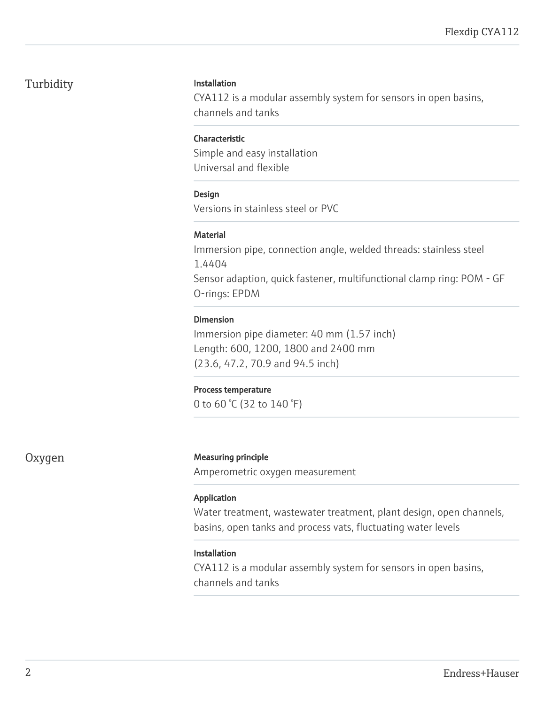# Turbidity **Installation**

CYA112 is a modular assembly system for sensors in open basins, channels and tanks

### Characteristic

Simple and easy installation Universal and flexible

### Design

Versions in stainless steel or PVC

### **Material**

Immersion pipe, connection angle, welded threads: stainless steel 1.4404 Sensor adaption, quick fastener, multifunctional clamp ring: POM - GF O-rings: EPDM

# Dimension

Immersion pipe diameter: 40 mm (1.57 inch) Length: 600, 1200, 1800 and 2400 mm (23.6, 47.2, 70.9 and 94.5 inch)

#### Process temperature

0 to 60 °C (32 to 140 °F)

# Oxygen Measuring principle

Amperometric oxygen measurement

# Application

Water treatment, wastewater treatment, plant design, open channels, basins, open tanks and process vats, fluctuating water levels

# Installation

CYA112 is a modular assembly system for sensors in open basins, channels and tanks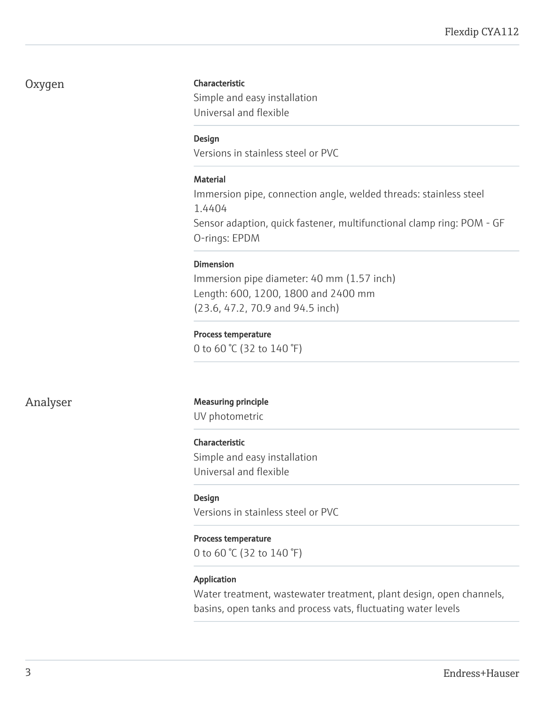# Oxygen

#### Characteristic

Simple and easy installation Universal and flexible

#### Design

Versions in stainless steel or PVC

#### Material

Immersion pipe, connection angle, welded threads: stainless steel 1.4404 Sensor adaption, quick fastener, multifunctional clamp ring: POM - GF O-rings: EPDM

#### Dimension

Immersion pipe diameter: 40 mm (1.57 inch) Length: 600, 1200, 1800 and 2400 mm (23.6, 47.2, 70.9 and 94.5 inch)

#### Process temperature

0 to 60 °C (32 to 140 °F)

### Analyser Measuring principle

UV photometric

#### Characteristic

Simple and easy installation Universal and flexible

#### **Design**

Versions in stainless steel or PVC

#### Process temperature

0 to 60 °C (32 to 140 °F)

#### Application

Water treatment, wastewater treatment, plant design, open channels, basins, open tanks and process vats, fluctuating water levels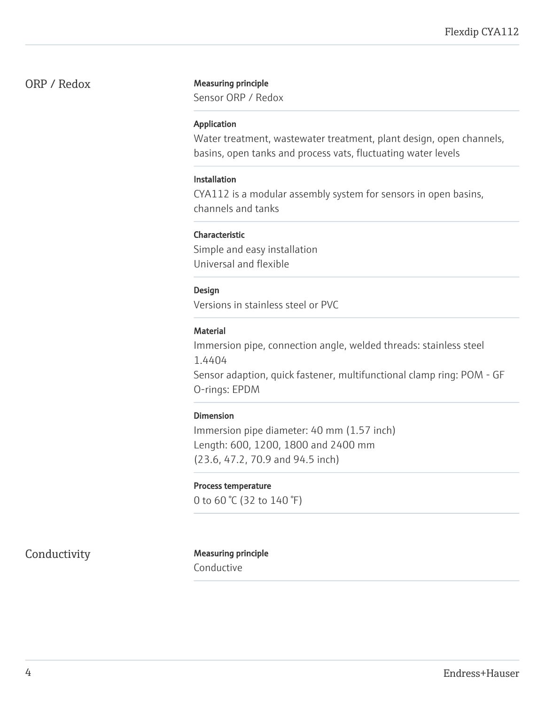#### ORP / Redox Measuring principle

Sensor ORP / Redox

#### Application

Water treatment, wastewater treatment, plant design, open channels, basins, open tanks and process vats, fluctuating water levels

#### Installation

CYA112 is a modular assembly system for sensors in open basins, channels and tanks

#### Characteristic

Simple and easy installation Universal and flexible

#### Design

Versions in stainless steel or PVC

#### **Material**

Immersion pipe, connection angle, welded threads: stainless steel 1.4404

Sensor adaption, quick fastener, multifunctional clamp ring: POM - GF O-rings: EPDM

#### Dimension

Immersion pipe diameter: 40 mm (1.57 inch) Length: 600, 1200, 1800 and 2400 mm (23.6, 47.2, 70.9 and 94.5 inch)

#### Process temperature

0 to 60 °C (32 to 140 °F)

# Conductivity Measuring principle

Conductive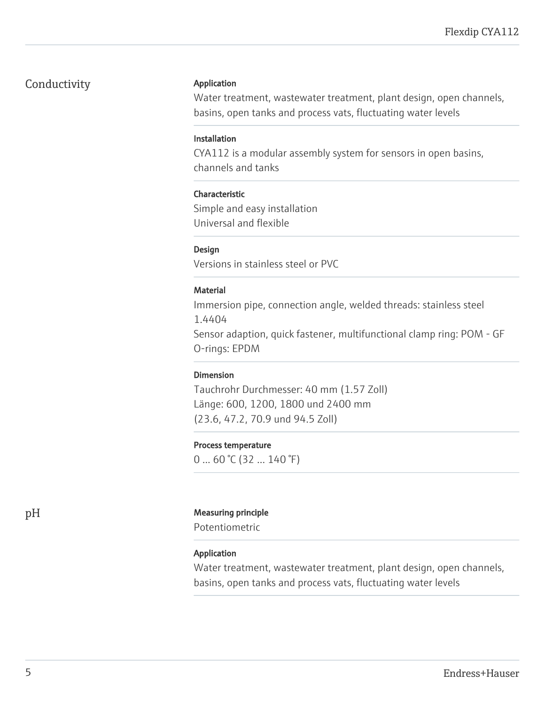# Conductivity

#### Application

Water treatment, wastewater treatment, plant design, open channels, basins, open tanks and process vats, fluctuating water levels

#### Installation

CYA112 is a modular assembly system for sensors in open basins, channels and tanks

#### Characteristic

Simple and easy installation Universal and flexible

### Design

Versions in stainless steel or PVC

#### **Material**

Immersion pipe, connection angle, welded threads: stainless steel 1.4404

Sensor adaption, quick fastener, multifunctional clamp ring: POM - GF O-rings: EPDM

# Dimension

Tauchrohr Durchmesser: 40 mm (1.57 Zoll) Länge: 600, 1200, 1800 und 2400 mm (23.6, 47.2, 70.9 und 94.5 Zoll)

#### Process temperature

 $0 \dots 60$  °C (32  $\dots 140$  °F)

#### pH Measuring principle

Potentiometric

#### Application

Water treatment, wastewater treatment, plant design, open channels, basins, open tanks and process vats, fluctuating water levels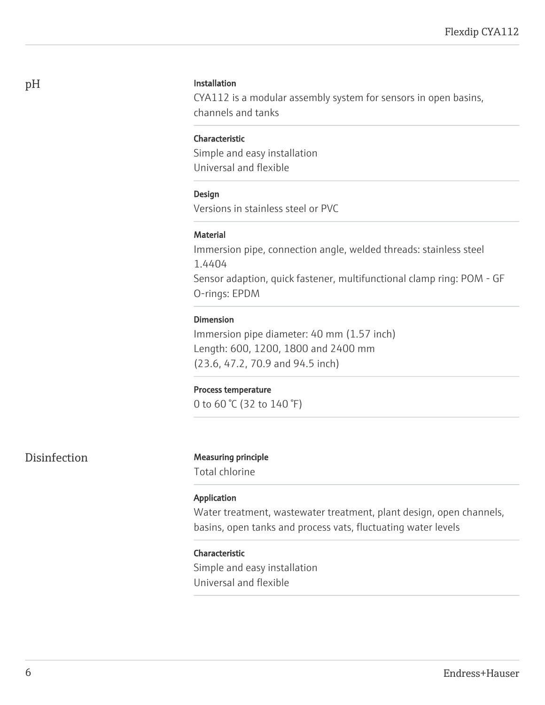#### Installation

CYA112 is a modular assembly system for sensors in open basins, channels and tanks

#### Characteristic

Simple and easy installation Universal and flexible

#### Design

Versions in stainless steel or PVC

#### **Material**

Immersion pipe, connection angle, welded threads: stainless steel 1.4404 Sensor adaption, quick fastener, multifunctional clamp ring: POM - GF O-rings: EPDM

#### Dimension

Immersion pipe diameter: 40 mm (1.57 inch) Length: 600, 1200, 1800 and 2400 mm (23.6, 47.2, 70.9 and 94.5 inch)

#### Process temperature

0 to 60 °C (32 to 140 °F)

### Disinfection Measuring principle

Total chlorine

#### Application

Water treatment, wastewater treatment, plant design, open channels, basins, open tanks and process vats, fluctuating water levels

#### Characteristic

Simple and easy installation Universal and flexible